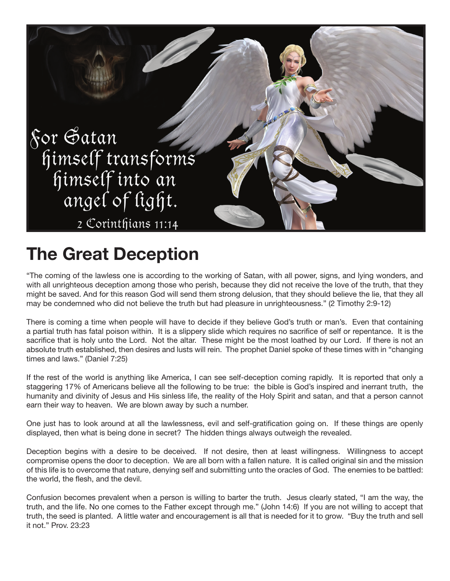

## **The Great Deception**

"The coming of the lawless one is according to the working of Satan, with all power, signs, and lying wonders, and with all unrighteous deception among those who perish, because they did not receive the love of the truth, that they might be saved. And for this reason God will send them strong delusion, that they should believe the lie, that they all may be condemned who did not believe the truth but had pleasure in unrighteousness." (2 Timothy 2:9-12)

There is coming a time when people will have to decide if they believe God's truth or man's. Even that containing a partial truth has fatal poison within. It is a slippery slide which requires no sacrifice of self or repentance. It is the sacrifice that is holy unto the Lord. Not the altar. These might be the most loathed by our Lord. If there is not an absolute truth established, then desires and lusts will rein. The prophet Daniel spoke of these times with in "changing times and laws." (Daniel 7:25)

If the rest of the world is anything like America, I can see self-deception coming rapidly. It is reported that only a staggering 17% of Americans believe all the following to be true: the bible is God's inspired and inerrant truth, the humanity and divinity of Jesus and His sinless life, the reality of the Holy Spirit and satan, and that a person cannot earn their way to heaven. We are blown away by such a number.

One just has to look around at all the lawlessness, evil and self-gratification going on. If these things are openly displayed, then what is being done in secret? The hidden things always outweigh the revealed.

Deception begins with a desire to be deceived. If not desire, then at least willingness. Willingness to accept compromise opens the door to deception. We are all born with a fallen nature. It is called original sin and the mission of this life is to overcome that nature, denying self and submitting unto the oracles of God. The enemies to be battled: the world, the flesh, and the devil.

Confusion becomes prevalent when a person is willing to barter the truth. Jesus clearly stated, "I am the way, the truth, and the life. No one comes to the Father except through me." (John 14:6) If you are not willing to accept that truth, the seed is planted. A little water and encouragement is all that is needed for it to grow. "Buy the truth and sell it not." Prov. 23:23